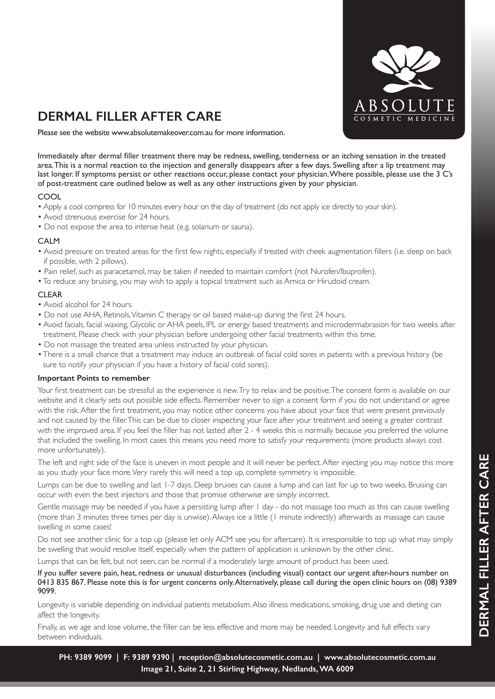

## **DERMAL FILLER AFTER CARE**

Please see the website www.absolutemakeover.com.au for more information.

Immediately after dermal filler treatment there may be redness, swelling, tenderness or an itching sensation in the treated area. This is a normal reaction to the injection and generally disappears after a few days. Swelling after a lip treatment may last longer. If symptoms persist or other reactions occur, please contact your physician. Where possible, please use the 3 C's of post-treatment care outlined below as well as any other instructions given by your physician.

#### COOL

- Apply a cool compress for 10 minutes every hour on the day of treatment (do not apply ice directly to your skin).
- Avoid strenuous exercise for 24 hours.
- Do not expose the area to intense heat (e.g. solarium or sauna).

#### CALM

- Avoid pressure on treated areas for the first few nights, especially if treated with cheek augmentation fillers (i.e. sleep on back if possible, with 2 pillows).
- Pain relief, such as paracetamol, may be taken if needed to maintain comfort (not Nurofen/Ibuprofen).
- To reduce any bruising, you may wish to apply a topical treatment such as Arnica or Hirudoid cream.

### CLEAR

- Avoid alcohol for 24 hours.
- Do not use AHA, Retinols, Vitamin C therapy or oil based make-up during the first 24 hours.
- Avoid facials, facial waxing, Glycolic or AHA peels, IPL or energy based treatments and microdermabrasion for two weeks after treatment. Please check with your physician before undergoing other facial treatments within this time.
- Do not massage the treated area unless instructed by your physician.
- There is a small chance that a treatment may induce an outbreak of facial cold sores in patients with a previous history (be sure to notify your physician if you have a history of facial cold sores).

#### **Important Points to remember**

Your first treatment can be stressful as the experience is new. Try to relax and be positive. The consent form is available on our website and it clearly sets out possible side effects. Remember never to sign a consent form if you do not understand or agree with the risk. After the first treatment, you may notice other concerns you have about your face that were present previously and not caused by the filler. This can be due to closer inspecting your face after your treatment and seeing a greater contrast with the improved area. If you feel the filler has not lasted after 2 - 4 weeks this is normally because you preferred the volume that included the swelling. In most cases this means you need more to satisfy your requirements (more products always cost more unfortunately).

The left and right side of the face is uneven in most people and it will never be perfect. After injecting you may notice this more as you study your face more. Very rarely this will need a top up, complete symmetry is impossible.

Lumps can be due to swelling and last 1-7 days. Deep bruises can cause a lump and can last for up to two weeks. Bruising can occur with even the best injectors and those that promise otherwise are simply incorrect.

Gentle massage may be needed if you have a persisting lump after 1 day - do not massage too much as this can cause swelling (more than 3 minutes three times per day is unwise). Always ice a little (1 minute indirectly) afterwards as massage can cause swelling in some cases!

Do not see another clinic for a top up (please let only ACM see you for aftercare). It is irresponsible to top up what may simply be swelling that would resolve itself, especially when the pattern of application is unknown by the other clinic.

Lumps that can be felt, but not seen, can be normal if a moderately large amount of product has been used.

If you suffer severe pain, heat, redness or unusual disturbances (including visual) contact our urgent after-hours number on 0413 835 867. Please note this is for urgent concerns only. Alternatively, please call during the open clinic hours on (08) 9389 9099.

Longevity is variable depending on individual patients metabolism. Also illness medications, smoking, drug use and dieting can affect the longevity.

Finally, as we age and lose volume, the filler can be less effective and more may be needed. Longevity and full effects vary between individuals.